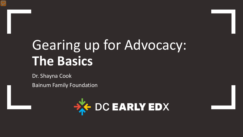# Gearing up for Advocacy: **The Basics**

Dr. Shayna Cook Bainum Family Foundation

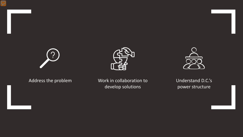





Address the problem Work in collaboration to develop solutions

Understand D.C.'s power structure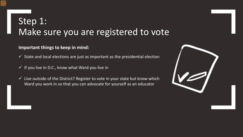### Step 1: Make sure you are registered to vote

#### **Important things to keep in mind:**

- $\checkmark$  State and local elections are just as important as the presidential election
- $\checkmark$  If you live in D.C., know what Ward you live in
- $\checkmark$  Live outside of the District? Register to vote in your state but know which Ward you work in so that you can advocate for yourself as an educator

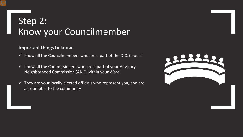### Step 2: Know your Councilmember

#### **Important things to know:**

- $\checkmark$  Know all the Councilmembers who are a part of the D.C. Council
- $\checkmark$  Know all the Commissioners who are a part of your Advisory Neighborhood Commission (ANC) within your Ward
- $\checkmark$  They are your locally elected officials who represent you, and are accountable to the community

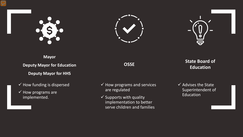





### **Mayor**

**Deputy Mayor for Education Deputy Mayor for HHS**

#### $\checkmark$  How funding is dispersed

 $\sqrt{\,}$  How programs are implemented.

- $\checkmark$  How programs and services are regulated
- $\checkmark$  Supports with quality implementation to better serve children and families

### **OSSE State Board of Education**

 $\checkmark$  Advises the State Superintendent of Education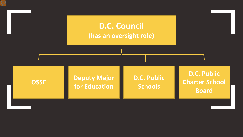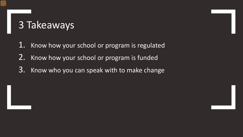## 3 Takeaways

- 1. Know how your school or program is regulated
- 2. Know how your school or program is funded
- 3. Know who you can speak with to make change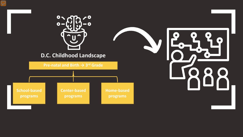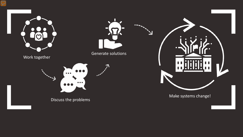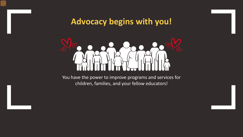### **Advocacy begins with you!**



You have the power to improve programs and services for children, families, and your fellow educators!